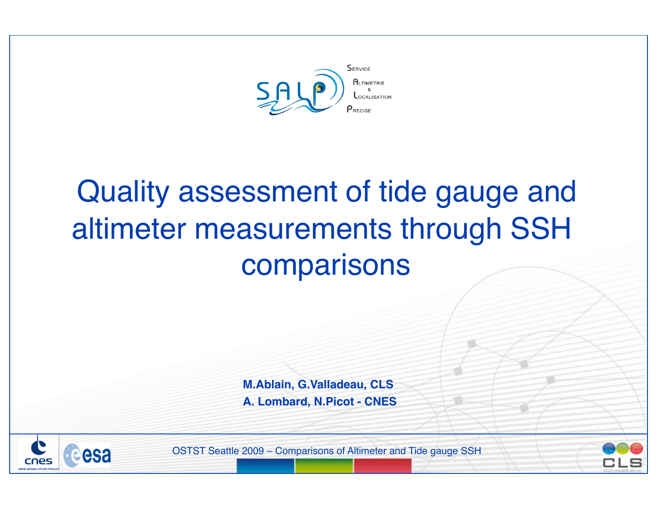

# Quality assessment of tide gauge and altimeter measurements through SSH comparisons

**M.Ablain, G.Valladeau, CLS A. Lombard, N.Picot - CNES**



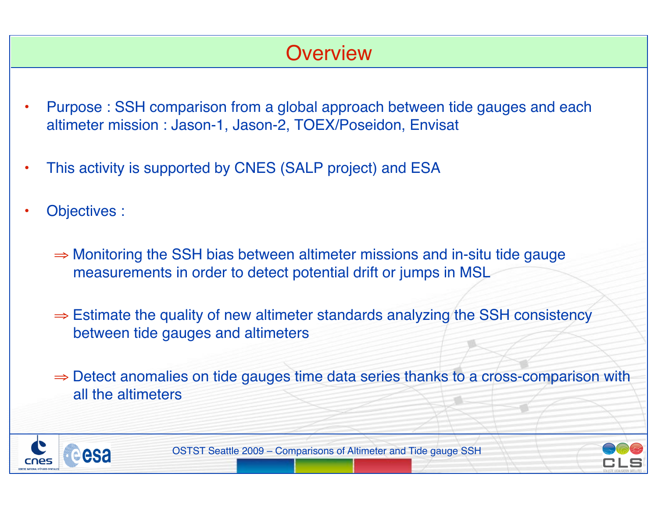## **Overview**

- Purpose : SSH comparison from a global approach between tide gauges and each altimeter mission : Jason-1, Jason-2, TOEX/Poseidon, Envisat
- This activity is supported by CNES (SALP project) and ESA
- Objectives :
	- ⇒ Monitoring the SSH bias between altimeter missions and in-situ tide gauge measurements in order to detect potential drift or jumps in MSL
	- ⇒ Estimate the quality of new altimeter standards analyzing the SSH consistency between tide gauges and altimeters
	- ⇒ Detect anomalies on tide gauges time data series thanks to a cross-comparison with all the altimeters



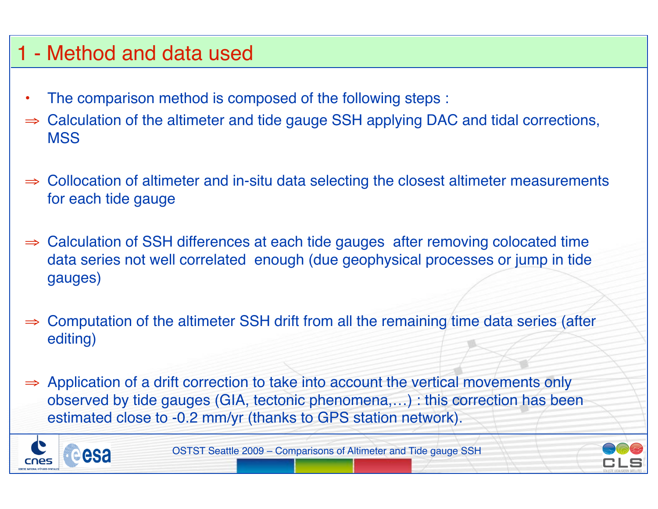# 1 - Method and data used

- The comparison method is composed of the following steps :
- ⇒ Calculation of the altimeter and tide gauge SSH applying DAC and tidal corrections, **MSS**
- ⇒ Collocation of altimeter and in-situ data selecting the closest altimeter measurements for each tide gauge
- ⇒ Calculation of SSH differences at each tide gauges after removing colocated time data series not well correlated enough (due geophysical processes or jump in tide gauges)
- Computation of the altimeter SSH drift from all the remaining time data series (after editing)
- ⇒ Application of a drift correction to take into account the vertical movements only observed by tide gauges (GIA, tectonic phenomena,…) : this correction has been estimated close to -0.2 mm/yr (thanks to GPS station network).



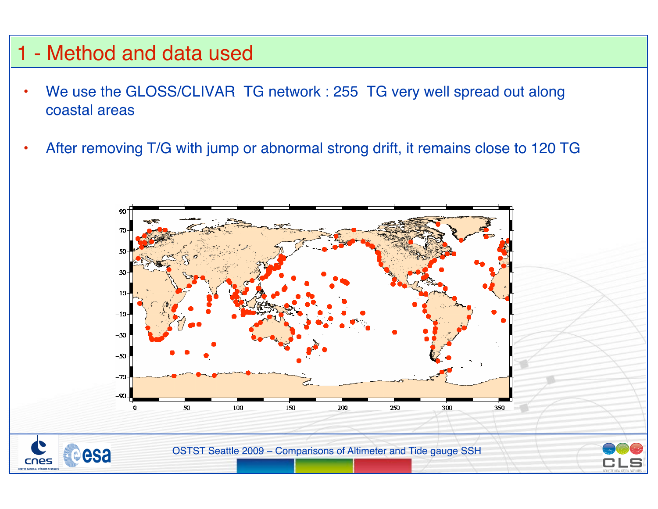#### 1 - Method and data used

- We use the GLOSS/CLIVAR TG network : 255 TG very well spread out along coastal areas
- After removing T/G with jump or abnormal strong drift, it remains close to 120 TG

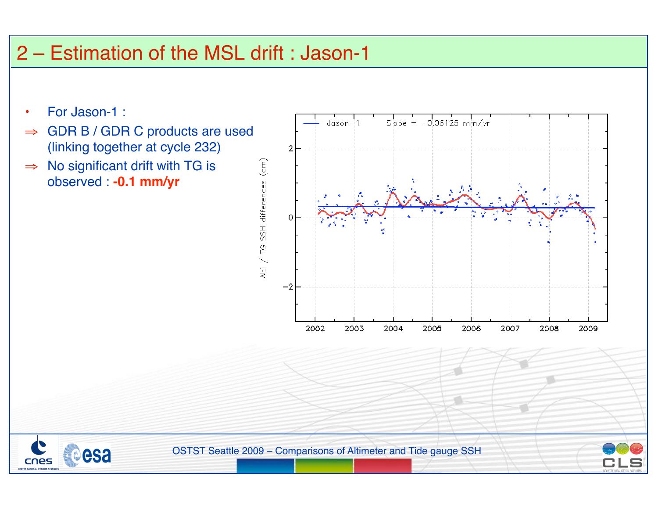# 2 – Estimation of the MSL drift : Jason-1

- For Jason-1 :
- ⇒ GDR B / GDR C products are used (linking together at cycle 232)
- ⇒ No significant drift with TG is observed : **-0.1 mm/yr**

esa

cnes



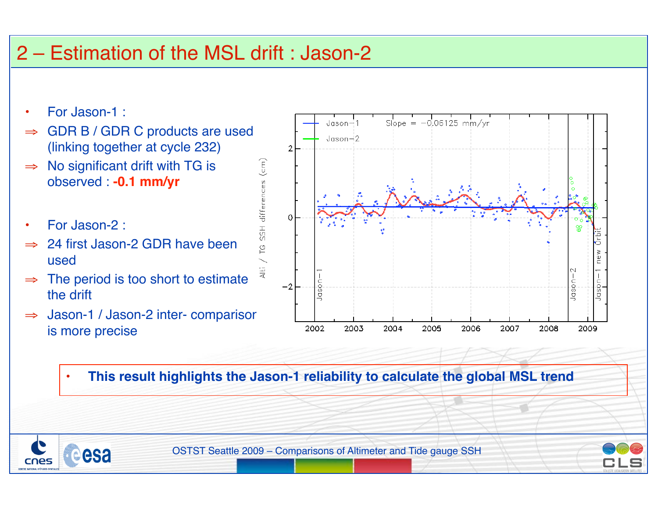## 2 – Estimation of the MSL drift : Jason-2

- For Jason-1 :
- ⇒ GDR B / GDR C products are used (linking together at cycle 232)
- $\Rightarrow$  No significant drift with TG is observed : **-0.1 mm/yr**
- For Jason-2 :

esa

- ⇒ 24 first Jason-2 GDR have been used
- $\Rightarrow$  The period is too short to estimate the drift
- ⇒ Jason-1 / Jason-2 inter- comparison is more precise



• **This result highlights the Jason-1 reliability to calculate the global MSL trend** 

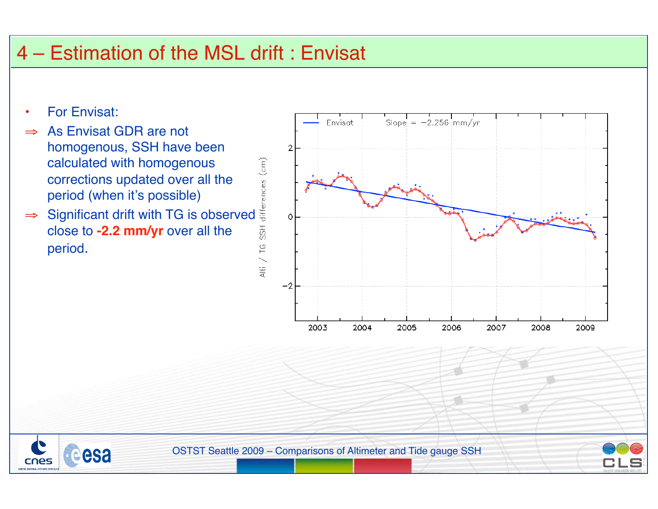## 4 – Estimation of the MSL drift : Envisat

- For Envisat:
- ⇒ As Envisat GDR are not homogenous, SSH have been calculated with homogenous corrections updated over all the period (when it's possible)
- ⇒ Significant drift with TG is observed close to **-2.2 mm/yr** over all the period.







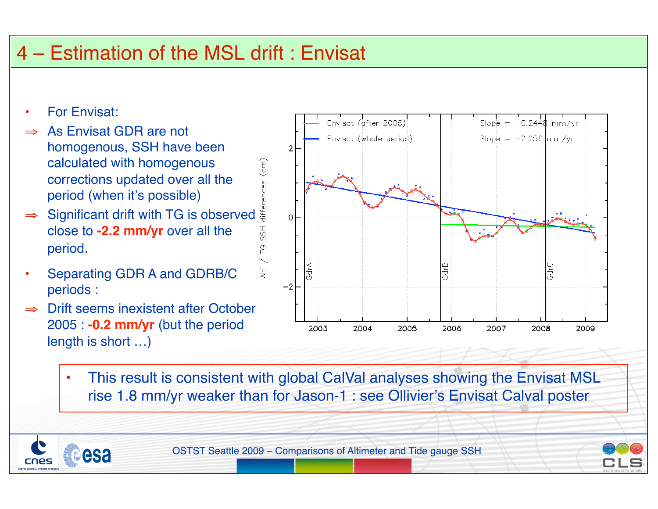# 4 – Estimation of the MSL drift : Envisat

- For Envisat:
- As Envisat GDR are not homogenous, SSH have been calculated with homogenous corrections updated over all the period (when it's possible) calculated with homogenous<br>
corrections updated over all the<br>
period (when it's possible)<br>
⇒ Significant drift with TG is observed
- close to **-2.2 mm/yr** over all the period.
- Separating GDR A and GDRB/C periods :
- ⇒ Drift seems inexistent after October 2005 : **-0.2 mm/yr** (but the period length is short …)

esa



• This result is consistent with global CalVal analyses showing the Envisat MSL rise 1.8 mm/yr weaker than for Jason-1 : see Ollivier's Envisat Calval poster

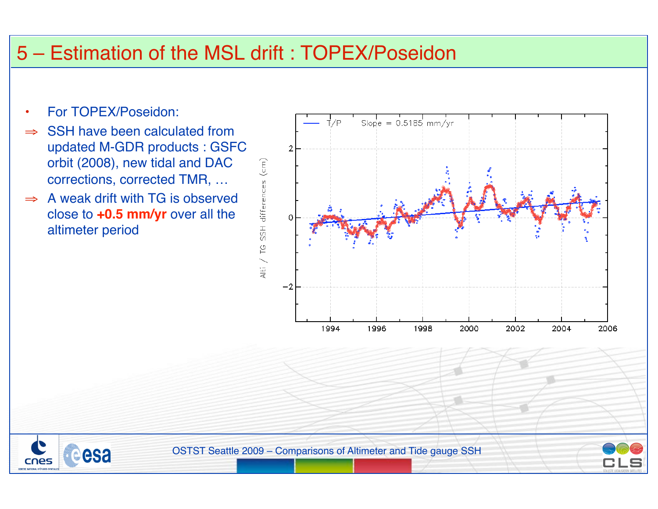#### 5 – Estimation of the MSL drift : TOPEX/Poseidon

• For TOPEX/Poseidon:

esa

cnes

- ⇒ SSH have been calculated from updated M-GDR products : GSFC orbit (2008), new tidal and DAC corrections, corrected TMR, …
- $\Rightarrow$  A weak drift with TG is observed close to **+0.5 mm/yr** over all the altimeter period



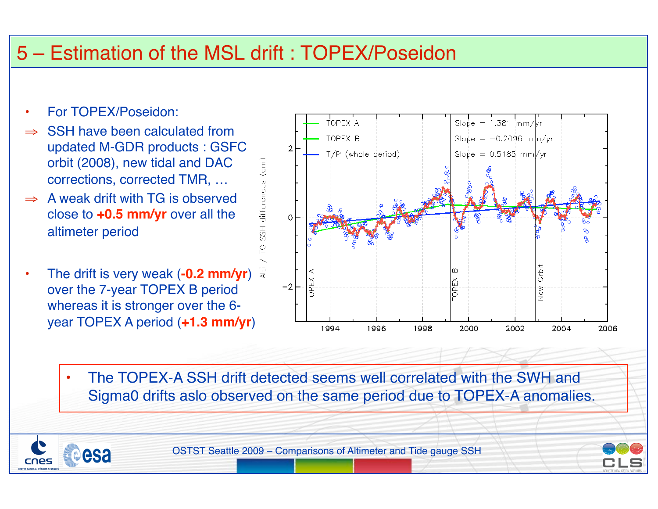## 5 – Estimation of the MSL drift : TOPEX/Poseidon

• For TOPEX/Poseidon:

esa

- SSH have been calculated from updated M-GDR products : GSFC orbit (2008), new tidal and DAC corrections, corrected TMR, …
- $\Rightarrow$  A weak drift with TG is observed close to **+0.5 mm/yr** over all the altimeter period
- The drift is very weak (**-0.2 mm/yr**) over the 7-year TOPEX B period whereas it is stronger over the 6 year TOPEX A period (**+1.3 mm/yr**)



• The TOPEX-A SSH drift detected seems well correlated with the SWH and Sigma0 drifts aslo observed on the same period due to TOPEX-A anomalies.